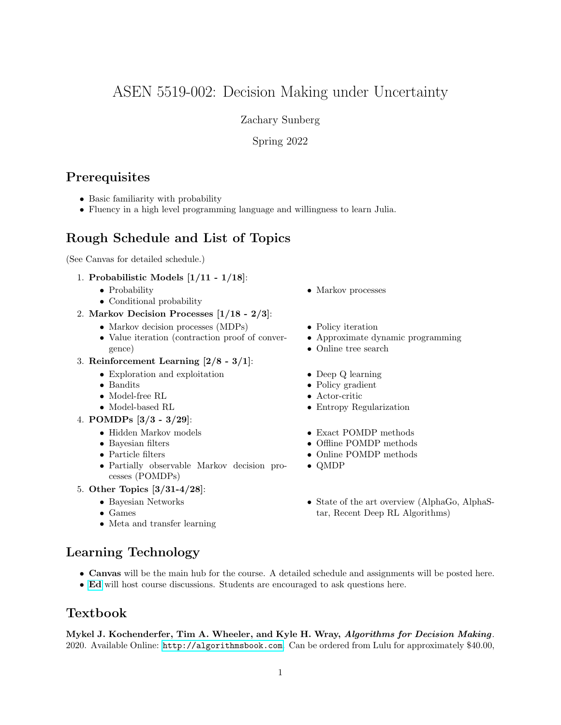# ASEN 5519-002: Decision Making under Uncertainty

Zachary Sunberg

Spring 2022

# **Prerequisites**

- Basic familiarity with probability
- Fluency in a high level programming language and willingness to learn Julia.

# Rough Schedule and List of Topics

(See Canvas for detailed schedule.)

- 1. Probabilistic Models [1/11 1/18]:
	- Probability
	- Conditional probability
- 2. Markov Decision Processes [1/18 2/3]:
	- Markov decision processes (MDPs)
	- Value iteration (contraction proof of convergence)
- 3. Reinforcement Learning [2/8 3/1]:
	- Exploration and exploitation
	- Bandits
	- Model-free RL
	- Model-based RL
- 4. POMDPs [3/3 3/29]:
	- Hidden Markov models
	- Bayesian filters
	- Particle filters
	- Partially observable Markov decision processes (POMDPs)
- 5. Other Topics [3/31-4/28]:
	- Bayesian Networks
	- Games
	- Meta and transfer learning
- Markov processes
- Policy iteration
- Approximate dynamic programming
- Online tree search
- Deep Q learning
- Policy gradient
- Actor-critic
- Entropy Regularization
- Exact POMDP methods
- Offline POMDP methods
- Online POMDP methods
- QMDP
- State of the art overview (AlphaGo, AlphaStar, Recent Deep RL Algorithms)

# Learning Technology

- Canvas will be the main hub for the course. A detailed schedule and assignments will be posted here.
- [Ed](https://edstem.org/) will host course discussions. Students are encouraged to ask questions here.

# Textbook

Mykel J. Kochenderfer, Tim A. Wheeler, and Kyle H. Wray, Algorithms for Decision Making. 2020. Available Online: <http://algorithmsbook.com>. Can be ordered from Lulu for approximately \$40.00,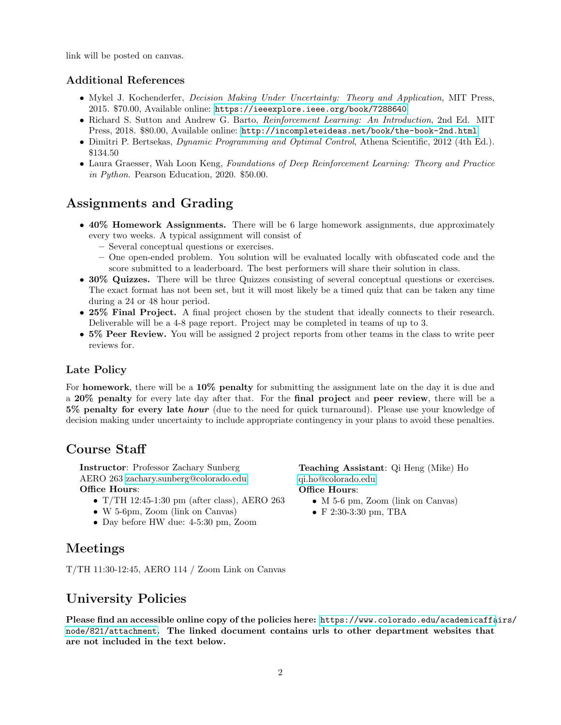link will be posted on canvas.

### Additional References

- Mykel J. Kochenderfer, *Decision Making Under Uncertainty: Theory and Application*, MIT Press, 2015. \$70.00, Available online: <https://ieeexplore.ieee.org/book/7288640>
- Richard S. Sutton and Andrew G. Barto, *Reinforcement Learning: An Introduction*, 2nd Ed. MIT Press, 2018. \$80.00, Available online: <http://incompleteideas.net/book/the-book-2nd.html>
- Dimitri P. Bertsekas, Dynamic Programming and Optimal Control, Athena Scientific, 2012 (4th Ed.). \$134.50
- Laura Graesser, Wah Loon Keng, Foundations of Deep Reinforcement Learning: Theory and Practice in Python. Pearson Education, 2020. \$50.00.

## Assignments and Grading

- 40% Homework Assignments. There will be 6 large homework assignments, due approximately every two weeks. A typical assignment will consist of
	- Several conceptual questions or exercises.
	- One open-ended problem. You solution will be evaluated locally with obfuscated code and the score submitted to a leaderboard. The best performers will share their solution in class.
- 30% Quizzes. There will be three Quizzes consisting of several conceptual questions or exercises. The exact format has not been set, but it will most likely be a timed quiz that can be taken any time during a 24 or 48 hour period.
- 25% Final Project. A final project chosen by the student that ideally connects to their research. Deliverable will be a 4-8 page report. Project may be completed in teams of up to 3.
- 5% Peer Review. You will be assigned 2 project reports from other teams in the class to write peer reviews for.

### Late Policy

For homework, there will be a 10% penalty for submitting the assignment late on the day it is due and a 20% penalty for every late day after that. For the final project and peer review, there will be a 5% penalty for every late *hour* (due to the need for quick turnaround). Please use your knowledge of decision making under uncertainty to include appropriate contingency in your plans to avoid these penalties.

## Course Staff

Instructor: Professor Zachary Sunberg AERO 263 [zachary.sunberg@colorado.edu](mailto://zachary.sunberg@colorado.edu) Office Hours:

- T/TH 12:45-1:30 pm (after class), AERO 263
- W 5-6pm, Zoom (link on Canvas)
- Day before HW due: 4-5:30 pm, Zoom

Teaching Assistant: Qi Heng (Mike) Ho [qi.ho@colorado.edu](mailto://qi.ho@colorado.edu) Office Hours:

- M 5-6 pm, Zoom (link on Canvas)
- F 2:30-3:30 pm, TBA

## Meetings

T/TH 11:30-12:45, AERO 114 / Zoom Link on Canvas

## University Policies

Please find an accessible online copy of the policies here: [https://www.colorado.edu/academicaffa](https://www.colorado.edu/academicaffairs/node/821/attachment)irs/ [node/821/attachment](https://www.colorado.edu/academicaffairs/node/821/attachment). The linked document contains urls to other department websites that are not included in the text below.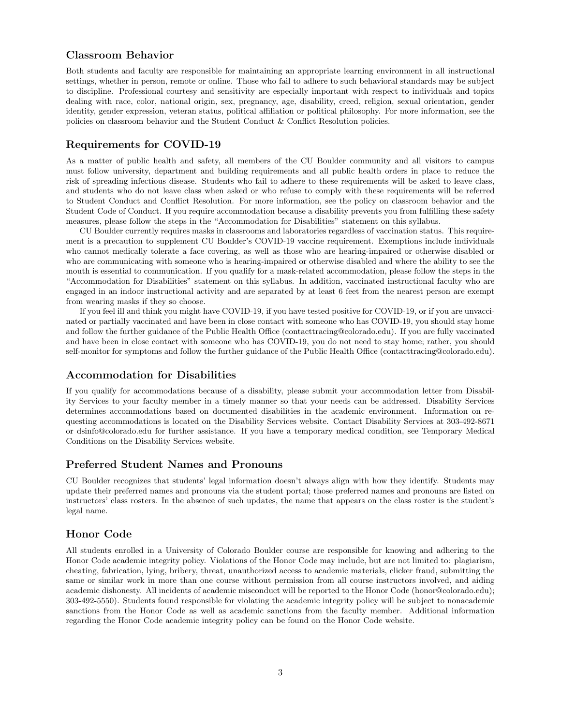### Classroom Behavior

Both students and faculty are responsible for maintaining an appropriate learning environment in all instructional settings, whether in person, remote or online. Those who fail to adhere to such behavioral standards may be subject to discipline. Professional courtesy and sensitivity are especially important with respect to individuals and topics dealing with race, color, national origin, sex, pregnancy, age, disability, creed, religion, sexual orientation, gender identity, gender expression, veteran status, political affiliation or political philosophy. For more information, see the policies on classroom behavior and the Student Conduct & Conflict Resolution policies.

#### Requirements for COVID-19

As a matter of public health and safety, all members of the CU Boulder community and all visitors to campus must follow university, department and building requirements and all public health orders in place to reduce the risk of spreading infectious disease. Students who fail to adhere to these requirements will be asked to leave class, and students who do not leave class when asked or who refuse to comply with these requirements will be referred to Student Conduct and Conflict Resolution. For more information, see the policy on classroom behavior and the Student Code of Conduct. If you require accommodation because a disability prevents you from fulfilling these safety measures, please follow the steps in the "Accommodation for Disabilities" statement on this syllabus.

CU Boulder currently requires masks in classrooms and laboratories regardless of vaccination status. This requirement is a precaution to supplement CU Boulder's COVID-19 vaccine requirement. Exemptions include individuals who cannot medically tolerate a face covering, as well as those who are hearing-impaired or otherwise disabled or who are communicating with someone who is hearing-impaired or otherwise disabled and where the ability to see the mouth is essential to communication. If you qualify for a mask-related accommodation, please follow the steps in the "Accommodation for Disabilities" statement on this syllabus. In addition, vaccinated instructional faculty who are engaged in an indoor instructional activity and are separated by at least 6 feet from the nearest person are exempt from wearing masks if they so choose.

If you feel ill and think you might have COVID-19, if you have tested positive for COVID-19, or if you are unvaccinated or partially vaccinated and have been in close contact with someone who has COVID-19, you should stay home and follow the further guidance of the Public Health Office (contacttracing@colorado.edu). If you are fully vaccinated and have been in close contact with someone who has COVID-19, you do not need to stay home; rather, you should self-monitor for symptoms and follow the further guidance of the Public Health Office (contacttracing@colorado.edu).

#### Accommodation for Disabilities

If you qualify for accommodations because of a disability, please submit your accommodation letter from Disability Services to your faculty member in a timely manner so that your needs can be addressed. Disability Services determines accommodations based on documented disabilities in the academic environment. Information on requesting accommodations is located on the Disability Services website. Contact Disability Services at 303-492-8671 or dsinfo@colorado.edu for further assistance. If you have a temporary medical condition, see Temporary Medical Conditions on the Disability Services website.

#### Preferred Student Names and Pronouns

CU Boulder recognizes that students' legal information doesn't always align with how they identify. Students may update their preferred names and pronouns via the student portal; those preferred names and pronouns are listed on instructors' class rosters. In the absence of such updates, the name that appears on the class roster is the student's legal name.

#### Honor Code

All students enrolled in a University of Colorado Boulder course are responsible for knowing and adhering to the Honor Code academic integrity policy. Violations of the Honor Code may include, but are not limited to: plagiarism, cheating, fabrication, lying, bribery, threat, unauthorized access to academic materials, clicker fraud, submitting the same or similar work in more than one course without permission from all course instructors involved, and aiding academic dishonesty. All incidents of academic misconduct will be reported to the Honor Code (honor@colorado.edu); 303-492-5550). Students found responsible for violating the academic integrity policy will be subject to nonacademic sanctions from the Honor Code as well as academic sanctions from the faculty member. Additional information regarding the Honor Code academic integrity policy can be found on the Honor Code website.